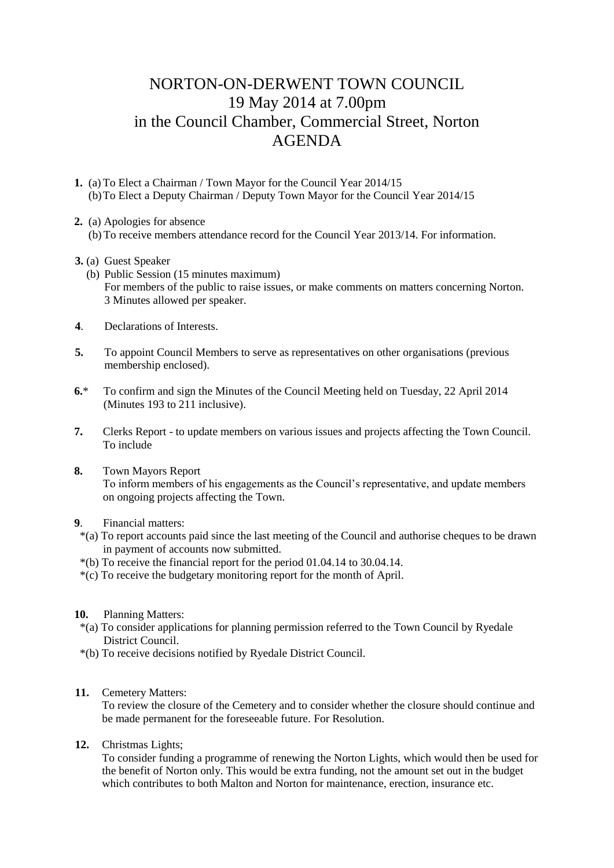## NORTON-ON-DERWENT TOWN COUNCIL 19 May 2014 at 7.00pm in the Council Chamber, Commercial Street, Norton AGENDA

- **1.** (a) To Elect a Chairman / Town Mayor for the Council Year 2014/15 (b)To Elect a Deputy Chairman / Deputy Town Mayor for the Council Year 2014/15
- **2.** (a) Apologies for absence
	- (b) To receive members attendance record for the Council Year 2013/14. For information.
- **3.** (a) Guest Speaker
	- (b) Public Session (15 minutes maximum) For members of the public to raise issues, or make comments on matters concerning Norton. 3 Minutes allowed per speaker.
- **4**. Declarations of Interests.
- **5.** To appoint Council Members to serve as representatives on other organisations (previous membership enclosed).
- **6.**\* To confirm and sign the Minutes of the Council Meeting held on Tuesday, 22 April 2014 (Minutes 193 to 211 inclusive).
- **7.** Clerks Report to update members on various issues and projects affecting the Town Council. To include
- **8.** Town Mayors Report To inform members of his engagements as the Council's representative, and update members on ongoing projects affecting the Town.
- **9**. Financial matters:
- \*(a) To report accounts paid since the last meeting of the Council and authorise cheques to be drawn in payment of accounts now submitted.
- \*(b) To receive the financial report for the period 01.04.14 to 30.04.14.
- \*(c) To receive the budgetary monitoring report for the month of April.
- **10.** Planning Matters:
- \*(a) To consider applications for planning permission referred to the Town Council by Ryedale District Council.
- \*(b) To receive decisions notified by Ryedale District Council.
- **11.** Cemetery Matters:

 To review the closure of the Cemetery and to consider whether the closure should continue and be made permanent for the foreseeable future. For Resolution.

**12.** Christmas Lights;

To consider funding a programme of renewing the Norton Lights, which would then be used for the benefit of Norton only. This would be extra funding, not the amount set out in the budget which contributes to both Malton and Norton for maintenance, erection, insurance etc.